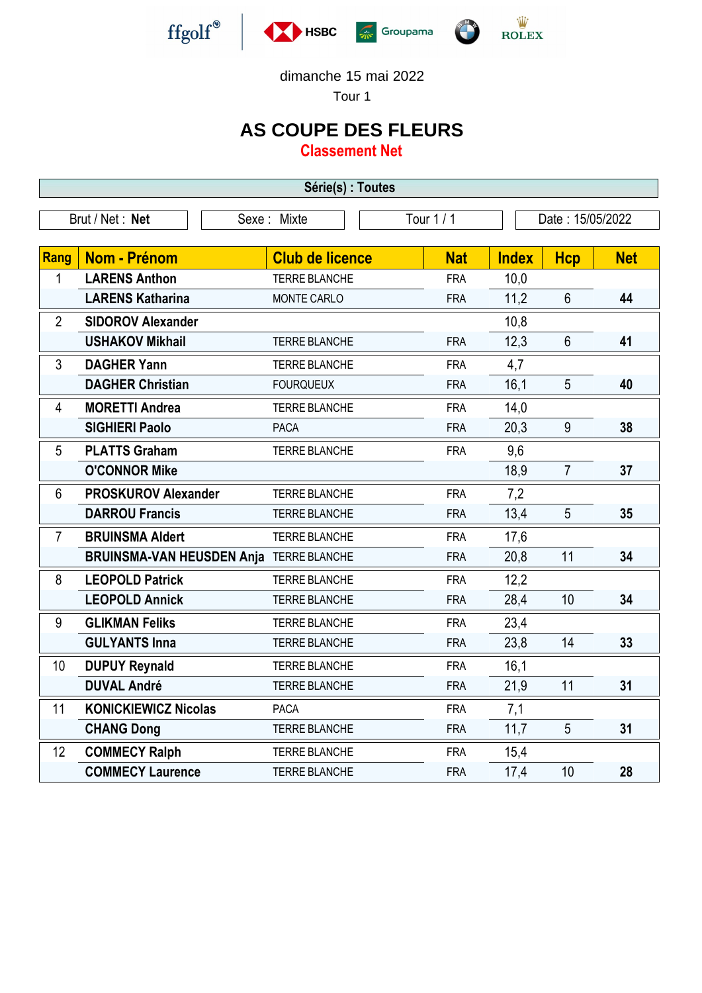







Tour 1

## **AS COUPE DES FLEURS**

**Classement Net**

| Série(s) : Toutes |                                         |                        |            |              |                  |            |  |  |  |  |
|-------------------|-----------------------------------------|------------------------|------------|--------------|------------------|------------|--|--|--|--|
| Brut / Net: Net   |                                         | Sexe : Mixte           | Tour $1/1$ |              | Date: 15/05/2022 |            |  |  |  |  |
|                   |                                         |                        |            |              |                  |            |  |  |  |  |
| Rang              | <b>Nom - Prénom</b>                     | <b>Club de licence</b> | <b>Nat</b> | <b>Index</b> | <b>Hcp</b>       | <b>Net</b> |  |  |  |  |
| 1                 | <b>LARENS Anthon</b>                    | <b>TERRE BLANCHE</b>   | <b>FRA</b> | 10,0         |                  |            |  |  |  |  |
|                   | <b>LARENS Katharina</b>                 | MONTE CARLO            | <b>FRA</b> | 11,2         | $6\phantom{1}$   | 44         |  |  |  |  |
| $\overline{2}$    | <b>SIDOROV Alexander</b>                |                        |            | 10,8         |                  |            |  |  |  |  |
|                   | <b>USHAKOV Mikhail</b>                  | <b>TERRE BLANCHE</b>   | <b>FRA</b> | 12,3         | $6\phantom{a}$   | 41         |  |  |  |  |
| 3                 | <b>DAGHER Yann</b>                      | <b>TERRE BLANCHE</b>   | <b>FRA</b> | 4,7          |                  |            |  |  |  |  |
|                   | <b>DAGHER Christian</b>                 | <b>FOURQUEUX</b>       | <b>FRA</b> | 16,1         | 5                | 40         |  |  |  |  |
| 4                 | <b>MORETTI Andrea</b>                   | <b>TERRE BLANCHE</b>   | <b>FRA</b> | 14,0         |                  |            |  |  |  |  |
|                   | <b>SIGHIERI Paolo</b>                   | <b>PACA</b>            | <b>FRA</b> | 20,3         | 9                | 38         |  |  |  |  |
| 5                 | <b>PLATTS Graham</b>                    | <b>TERRE BLANCHE</b>   | <b>FRA</b> | 9,6          |                  |            |  |  |  |  |
|                   | <b>O'CONNOR Mike</b>                    |                        |            | 18,9         | $\overline{7}$   | 37         |  |  |  |  |
| $6\phantom{1}$    | <b>PROSKUROV Alexander</b>              | <b>TERRE BLANCHE</b>   | <b>FRA</b> | 7,2          |                  |            |  |  |  |  |
|                   | <b>DARROU Francis</b>                   | <b>TERRE BLANCHE</b>   | <b>FRA</b> | 13,4         | 5                | 35         |  |  |  |  |
| 7                 | <b>BRUINSMA Aldert</b>                  | <b>TERRE BLANCHE</b>   | <b>FRA</b> | 17,6         |                  |            |  |  |  |  |
|                   | BRUINSMA-VAN HEUSDEN Anja TERRE BLANCHE |                        | <b>FRA</b> | 20,8         | 11               | 34         |  |  |  |  |
| 8                 | <b>LEOPOLD Patrick</b>                  | <b>TERRE BLANCHE</b>   | <b>FRA</b> | 12,2         |                  |            |  |  |  |  |
|                   | <b>LEOPOLD Annick</b>                   | <b>TERRE BLANCHE</b>   | <b>FRA</b> | 28,4         | 10               | 34         |  |  |  |  |
| 9                 | <b>GLIKMAN Feliks</b>                   | <b>TERRE BLANCHE</b>   | <b>FRA</b> | 23,4         |                  |            |  |  |  |  |
|                   | <b>GULYANTS Inna</b>                    | <b>TERRE BLANCHE</b>   | <b>FRA</b> | 23,8         | 14               | 33         |  |  |  |  |
| 10                | <b>DUPUY Reynald</b>                    | <b>TERRE BLANCHE</b>   | <b>FRA</b> | 16,1         |                  |            |  |  |  |  |
|                   | <b>DUVAL André</b>                      | <b>TERRE BLANCHE</b>   | <b>FRA</b> | 21,9         | 11               | 31         |  |  |  |  |
| 11                | <b>KONICKIEWICZ Nicolas</b>             | <b>PACA</b>            | <b>FRA</b> | 7,1          |                  |            |  |  |  |  |
|                   | <b>CHANG Dong</b>                       | <b>TERRE BLANCHE</b>   | <b>FRA</b> | 11,7         | 5                | 31         |  |  |  |  |
| 12                | <b>COMMECY Ralph</b>                    | <b>TERRE BLANCHE</b>   | <b>FRA</b> | 15,4         |                  |            |  |  |  |  |
|                   | <b>COMMECY Laurence</b>                 | <b>TERRE BLANCHE</b>   | <b>FRA</b> | 17,4         | 10               | 28         |  |  |  |  |